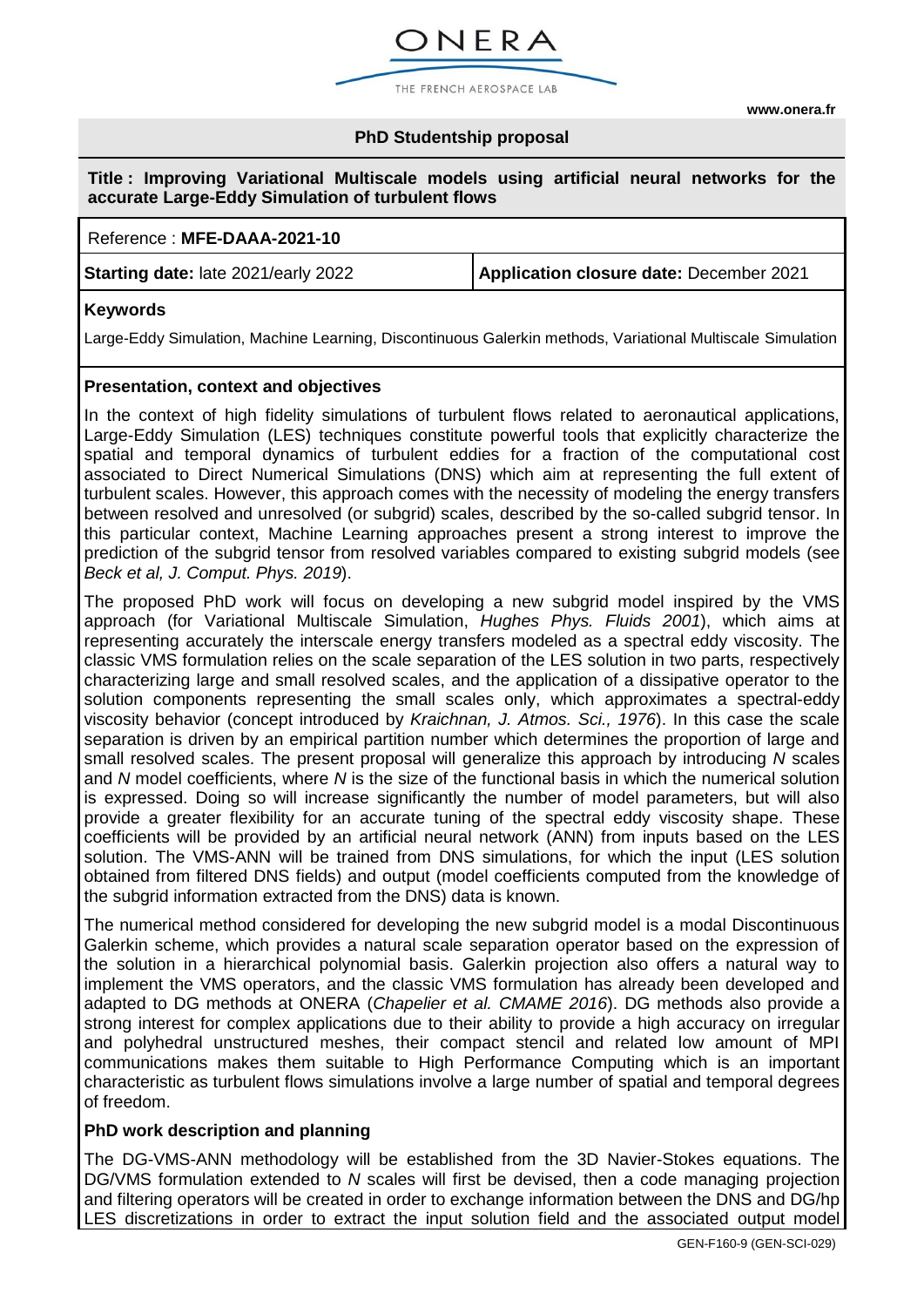**[www.onera.fr](http://www.onera.fr/)**

## **PhD Studentship proposal**

ONERA

THE FRENCH AEROSPACE LAB

#### **Title : Improving Variational Multiscale models using artificial neural networks for the accurate Large-Eddy Simulation of turbulent flows**

#### Reference : **MFE-DAAA-2021-10**

**Starting date:** late 2021/early 2022 **Application closure date:** December 2021

## **Keywords**

Large-Eddy Simulation, Machine Learning, Discontinuous Galerkin methods, Variational Multiscale Simulation

## **Presentation, context and objectives**

In the context of high fidelity simulations of turbulent flows related to aeronautical applications, Large-Eddy Simulation (LES) techniques constitute powerful tools that explicitly characterize the spatial and temporal dynamics of turbulent eddies for a fraction of the computational cost associated to Direct Numerical Simulations (DNS) which aim at representing the full extent of turbulent scales. However, this approach comes with the necessity of modeling the energy transfers between resolved and unresolved (or subgrid) scales, described by the so-called subgrid tensor. In this particular context, Machine Learning approaches present a strong interest to improve the prediction of the subgrid tensor from resolved variables compared to existing subgrid models (see *Beck et al, J. Comput. Phys. 2019*).

The proposed PhD work will focus on developing a new subgrid model inspired by the VMS approach (for Variational Multiscale Simulation, *Hughes Phys. Fluids 2001*), which aims at representing accurately the interscale energy transfers modeled as a spectral eddy viscosity. The classic VMS formulation relies on the scale separation of the LES solution in two parts, respectively characterizing large and small resolved scales, and the application of a dissipative operator to the solution components representing the small scales only, which approximates a spectral-eddy viscosity behavior (concept introduced by *Kraichnan, J. Atmos. Sci., 1976*). In this case the scale separation is driven by an empirical partition number which determines the proportion of large and small resolved scales. The present proposal will generalize this approach by introducing *N* scales and *N* model coefficients, where *N* is the size of the functional basis in which the numerical solution is expressed. Doing so will increase significantly the number of model parameters, but will also provide a greater flexibility for an accurate tuning of the spectral eddy viscosity shape. These coefficients will be provided by an artificial neural network (ANN) from inputs based on the LES solution. The VMS-ANN will be trained from DNS simulations, for which the input (LES solution obtained from filtered DNS fields) and output (model coefficients computed from the knowledge of the subgrid information extracted from the DNS) data is known.

The numerical method considered for developing the new subgrid model is a modal Discontinuous Galerkin scheme, which provides a natural scale separation operator based on the expression of the solution in a hierarchical polynomial basis. Galerkin projection also offers a natural way to implement the VMS operators, and the classic VMS formulation has already been developed and adapted to DG methods at ONERA (*Chapelier et al. CMAME 2016*). DG methods also provide a strong interest for complex applications due to their ability to provide a high accuracy on irregular and polyhedral unstructured meshes, their compact stencil and related low amount of MPI communications makes them suitable to High Performance Computing which is an important characteristic as turbulent flows simulations involve a large number of spatial and temporal degrees of freedom.

#### **PhD work description and planning**

The DG-VMS-ANN methodology will be established from the 3D Navier-Stokes equations. The DG/VMS formulation extended to *N* scales will first be devised, then a code managing projection and filtering operators will be created in order to exchange information between the DNS and DG/hp LES discretizations in order to extract the input solution field and the associated output model